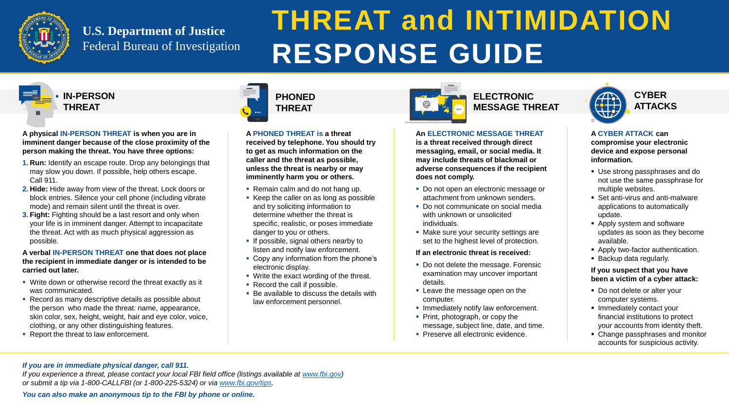

# **U.S. Department of Justice** Federal Bureau of Investigation



**PHONED THREAT**

# **ELECTRONIC MESSAGE THREAT**



**A physical IN-PERSON THREAT is when you are in imminent danger because of the close proximity of the person making the threat. You have three options:**

- **1. Run:** Identify an escape route. Drop any belongings that may slow you down. If possible, help others escape. Call 911.
- **2. Hide:** Hide away from view of the threat. Lock doors or block entries. Silence your cell phone (including vibrate mode) and remain silent until the threat is over.
- **3. Fight:** Fighting should be a last resort and only when your life is in imminent danger. Attempt to incapacitate the threat. Act with as much physical aggression as possible.

#### **A verbal IN-PERSON THREAT one that does not place the recipient in immediate danger or is intended to be carried out later.**

- **Write down or otherwise record the threat exactly as it** was communicated.
- Record as many descriptive details as possible about the person who made the threat: name, appearance, skin color, sex, height, weight, hair and eye color, voice, clothing, or any other distinguishing features.
- Report the threat to law enforcement.



Do not open an electronic message or attachment from unknown senders. • Do not communicate on social media with unknown or unsolicited

• Make sure your security settings are set to the highest level of protection.

Do not delete the message. Forensic examination may uncover important

**Leave the message open on the** 

**Immediately notify law enforcement.** • Print, photograph, or copy the message, subject line, date, and time. **Preserve all electronic evidence.** 

**A PHONED THREAT is a threat** 

**received by telephone. You should try** 

**to get as much information on the caller and the threat as possible, unless the threat is nearby or may imminently harm you or others.**

Remain calm and do not hang up.

- Use strong passphrases and do not use the same passphrase for multiple websites.
- Set anti-virus and anti-malware applications to automatically update.
- **Apply system and software** updates as soon as they become available.
- **Apply two-factor authentication.**
- **Backup data regularly.**

and try soliciting information to determine whether the threat is

If possible, signal others nearby to listen and notify law enforcement. • Copy any information from the phone's

**Write the exact wording of the threat.** 

■ Be available to discuss the details with

specific, realistic, or poses immediate

danger to you or others.

■ Record the call if possible.

- Do not delete or alter your computer systems.
- **Immediately contact your** financial institutions to protect your accounts from identity theft.
- Change passphrases and monitor accounts for suspicious activity.

electronic display.

Keep the caller on as long as possible

*If you experience a threat, please contact your local FBI field office (listings available at [www.fbi.gov\)](http://www.fbi.gov/) or submit a tip via 1-800-CALLFBI (or 1-800-225-5324) or via [www.fbi.gov/tips.](http://www.fbi.gov/tips)*

law enforcement personnel.

### **An ELECTRONIC MESSAGE THREAT is a threat received through direct messaging, email, or social media. It may include threats of blackmail or adverse consequences if the recipient**

**does not comply.**

- 
- individuals.
- 

#### **If an electronic threat is received:**

- details.
- computer.
- 
- 
- 

#### **A CYBER ATTACK can compromise your electronic device and expose personal information.**

#### **If you suspect that you have been a victim of a cyber attack:**

#### *If you are in immediate physical danger, call 911.*

*You can also make an anonymous tip to the FBI by phone or online.*

# **THREAT and INTIMIDATION RESPONSE GUIDE**